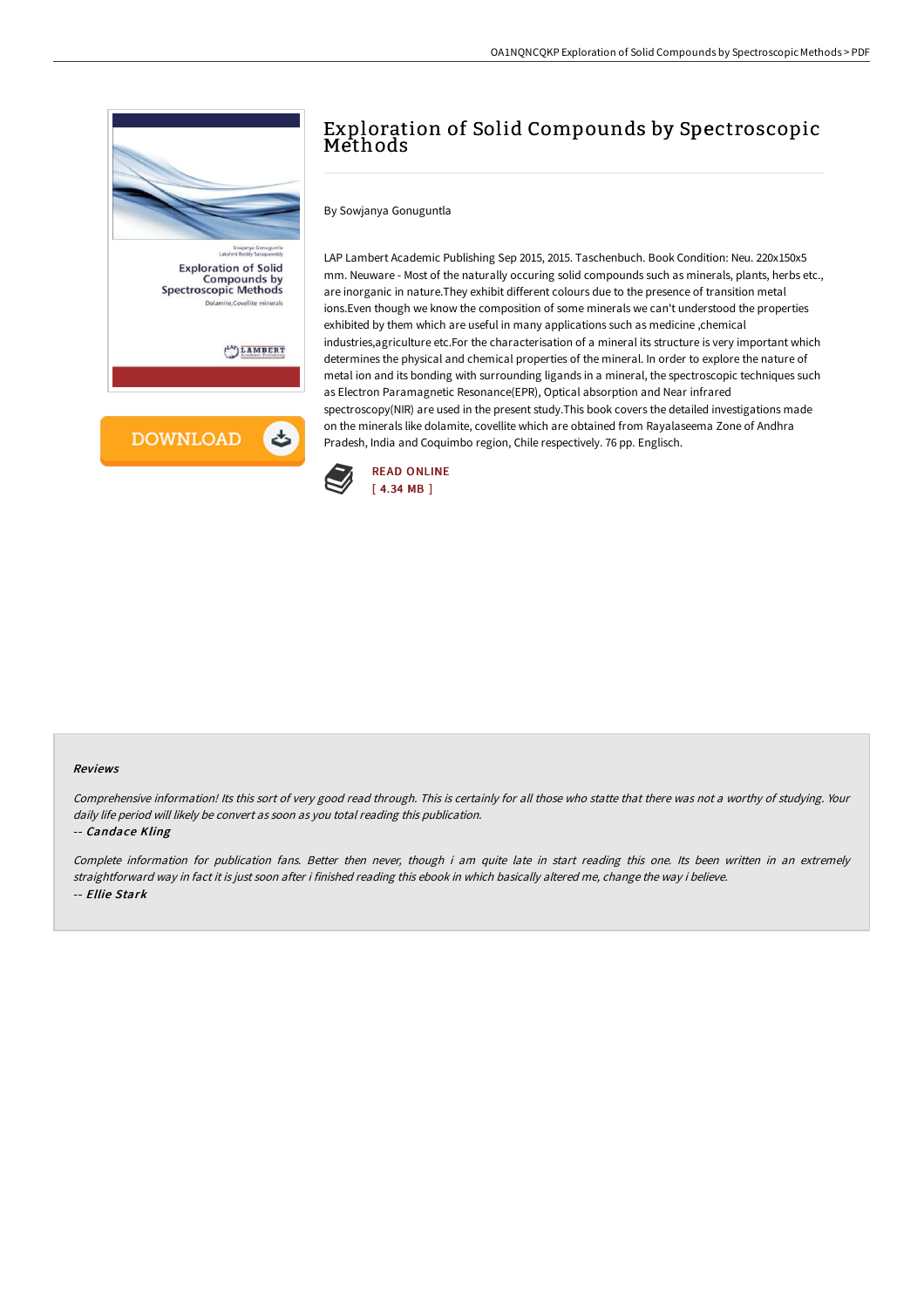

## Exploration of Solid Compounds by Spectroscopic Methods

By Sowjanya Gonuguntla

LAP Lambert Academic Publishing Sep 2015, 2015. Taschenbuch. Book Condition: Neu. 220x150x5 mm. Neuware - Most of the naturally occuring solid compounds such as minerals, plants, herbs etc., are inorganic in nature.They exhibit different colours due to the presence of transition metal ions.Even though we know the composition of some minerals we can't understood the properties exhibited by them which are useful in many applications such as medicine ,chemical industries,agriculture etc.For the characterisation of a mineral its structure is very important which determines the physical and chemical properties of the mineral. In order to explore the nature of metal ion and its bonding with surrounding ligands in a mineral, the spectroscopic techniques such as Electron Paramagnetic Resonance(EPR), Optical absorption and Near infrared spectroscopy(NIR) are used in the present study.This book covers the detailed investigations made on the minerals like dolamite, covellite which are obtained from Rayalaseema Zone of Andhra Pradesh, India and Coquimbo region, Chile respectively. 76 pp. Englisch.



## Reviews

Comprehensive information! Its this sort of very good read through. This is certainly for all those who statte that there was not <sup>a</sup> worthy of studying. Your daily life period will likely be convert as soon as you total reading this publication.

## -- Candace Kling

Complete information for publication fans. Better then never, though i am quite late in start reading this one. Its been written in an extremely straightforward way in fact it is just soon after i finished reading this ebook in which basically altered me, change the way i believe. -- Ellie Stark